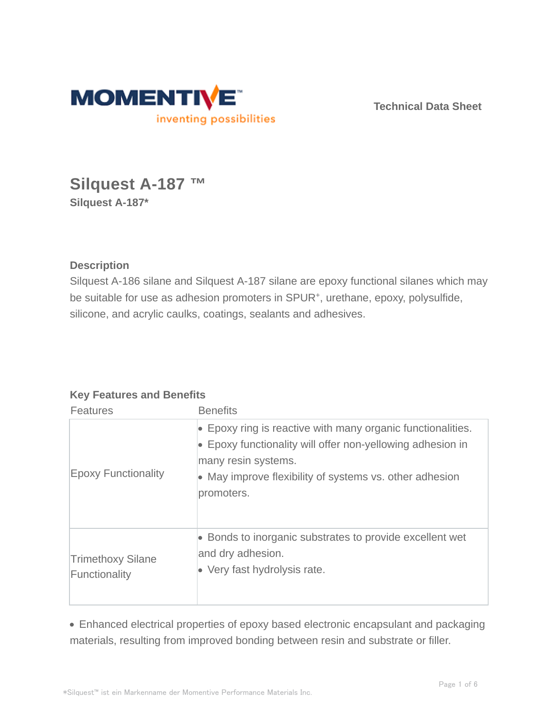

**Technical Data Sheet**

# **Silquest A-187 ™ Silquest A-187\***

**Description**

Silquest A-186 silane and Silquest A-187 silane are epoxy functional silanes which may be suitable for use as adhesion promoters in SPUR<sup>+</sup>, urethane, epoxy, polysulfide, silicone, and acrylic caulks, coatings, sealants and adhesives.

## **Key Features and Benefits**

| <b>Features</b>                           | <b>Benefits</b>                                                                                                                                                                                                                   |
|-------------------------------------------|-----------------------------------------------------------------------------------------------------------------------------------------------------------------------------------------------------------------------------------|
| <b>Epoxy Functionality</b>                | $\bullet$ Epoxy ring is reactive with many organic functionalities.<br>• Epoxy functionality will offer non-yellowing adhesion in<br>many resin systems.<br>• May improve flexibility of systems vs. other adhesion<br>promoters. |
| <b>Trimethoxy Silane</b><br>Functionality | • Bonds to inorganic substrates to provide excellent wet<br>and dry adhesion.<br>• Very fast hydrolysis rate.                                                                                                                     |

Enhanced electrical properties of epoxy based electronic encapsulant and packaging materials, resulting from improved bonding between resin and substrate or filler.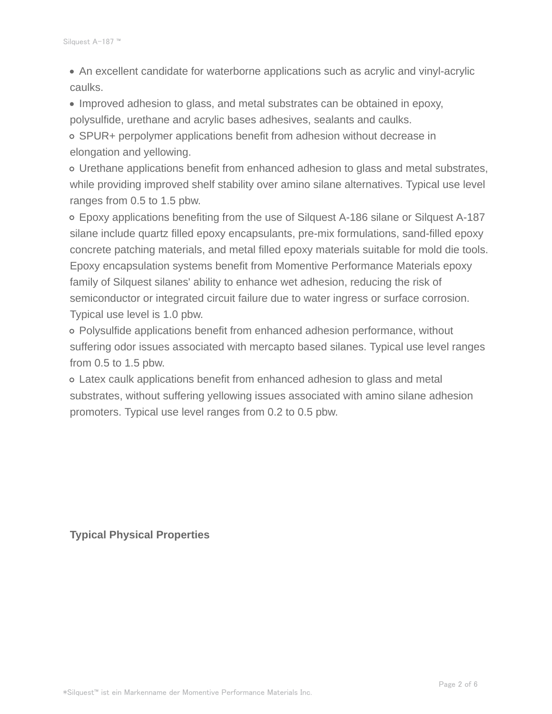An excellent candidate for waterborne applications such as acrylic and vinyl-acrylic caulks.

• Improved adhesion to glass, and metal substrates can be obtained in epoxy, polysulfide, urethane and acrylic bases adhesives, sealants and caulks.

SPUR+ perpolymer applications benefit from adhesion without decrease in elongation and yellowing.

Urethane applications benefit from enhanced adhesion to glass and metal substrates, while providing improved shelf stability over amino silane alternatives. Typical use level ranges from 0.5 to 1.5 pbw.

Epoxy applications benefiting from the use of Silquest A-186 silane or Silquest A-187 silane include quartz filled epoxy encapsulants, pre-mix formulations, sand-filled epoxy concrete patching materials, and metal filled epoxy materials suitable for mold die tools. Epoxy encapsulation systems benefit from Momentive Performance Materials epoxy family of Silquest silanes' ability to enhance wet adhesion, reducing the risk of semiconductor or integrated circuit failure due to water ingress or surface corrosion. Typical use level is 1.0 pbw.

Polysulfide applications benefit from enhanced adhesion performance, without suffering odor issues associated with mercapto based silanes. Typical use level ranges from 0.5 to 1.5 pbw.

Latex caulk applications benefit from enhanced adhesion to glass and metal substrates, without suffering yellowing issues associated with amino silane adhesion promoters. Typical use level ranges from 0.2 to 0.5 pbw.

**Typical Physical Properties**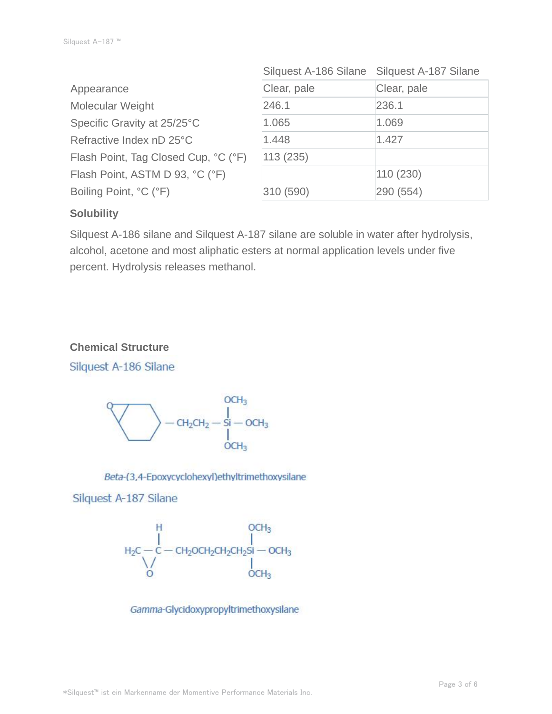| Appearance                           | Clear, pale | Clear, pale |
|--------------------------------------|-------------|-------------|
| Molecular Weight                     | 246.1       | 236.1       |
| Specific Gravity at 25/25°C          | 1.065       | 1.069       |
| Refractive Index nD 25°C             | 1.448       | 1.427       |
| Flash Point, Tag Closed Cup, °C (°F) | 113(235)    |             |
| Flash Point, ASTM D 93, °C (°F)      |             | 110(230)    |
| Boiling Point, °C (°F)               | 310 (590)   | 290 (554)   |

| Silquest A-186 Silane | Silquest A-187 Silane |
|-----------------------|-----------------------|
| Clear, pale           | Clear, pale           |
| 246.1                 | 236.1                 |
| 1.065                 | 1.069                 |
| 1.448                 | 1.427                 |
| 113(235)              |                       |
|                       | 110 (230)             |
| 310 (590)             | 290 (554)             |

## **Solubility**

Silquest A-186 silane and Silquest A-187 silane are soluble in water after hydrolysis, alcohol, acetone and most aliphatic esters at normal application levels under five percent. Hydrolysis releases methanol.

### **Chemical Structure**

Silquest A-186 Silane



#### Beta-(3,4-Epoxycyclohexyl)ethyltrimethoxysilane

#### Silquest A-187 Silane



Gamma-Glycidoxypropyltrimethoxysilane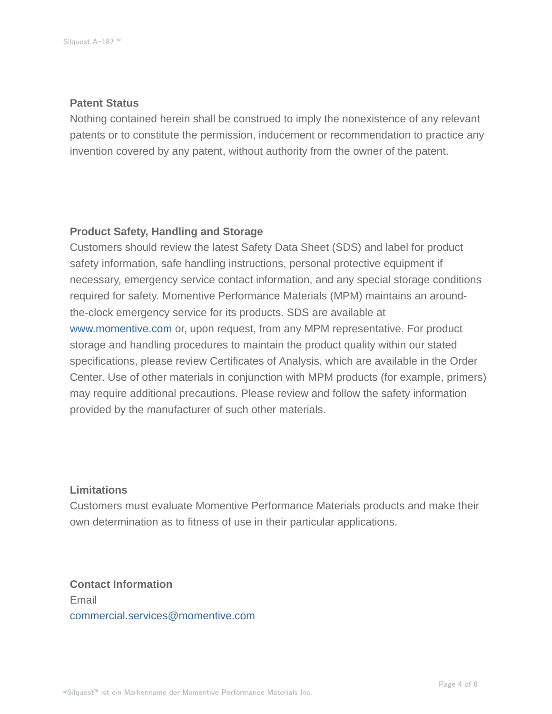#### **Patent Status**

Nothing contained herein shall be construed to imply the nonexistence of any relevant patents or to constitute the permission, inducement or recommendation to practice any invention covered by any patent, without authority from the owner of the patent.

#### **Product Safety, Handling and Storage**

Customers should review the latest Safety Data Sheet (SDS) and label for product safety information, safe handling instructions, personal protective equipment if necessary, emergency service contact information, and any special storage conditions required for safety. Momentive Performance Materials (MPM) maintains an aroundthe-clock emergency service for its products. SDS are available at www.momentive.com or, upon request, from any MPM representative. For product storage and handling procedures to maintain the product quality within our stated specifications, please review Certificates of Analysis, which are available in the Order Center. Use of other materials in conjunction with MPM products (for example, primers) may require additional precautions. Please review and follow the safety information provided by the manufacturer of such other materials.

#### **Limitations**

Customers must evaluate Momentive Performance Materials products and make their own determination as to fitness of use in their particular applications.

**Contact Information** Email commercial.services@momentive.com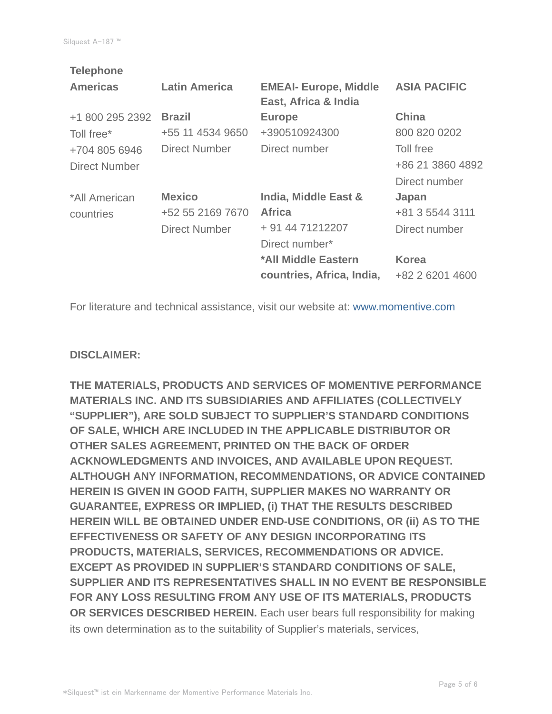| <b>Telephone</b> |                      |                              |                     |
|------------------|----------------------|------------------------------|---------------------|
| <b>Americas</b>  | <b>Latin America</b> | <b>EMEAI- Europe, Middle</b> | <b>ASIA PACIFIC</b> |
|                  |                      | East, Africa & India         |                     |
| +1 800 295 2392  | <b>Brazil</b>        | <b>Europe</b>                | <b>China</b>        |
| Toll free*       | +55 11 4534 9650     | +390510924300                | 800 820 0202        |
| +704 805 6946    | <b>Direct Number</b> | Direct number                | Toll free           |
| Direct Number    |                      |                              | +86 21 3860 4892    |
|                  |                      |                              | Direct number       |
| *All American    | <b>Mexico</b>        | India, Middle East &         | Japan               |
| countries        | +52 55 2169 7670     | <b>Africa</b>                | +81 3 5544 3111     |
|                  | <b>Direct Number</b> | + 91 44 71212207             | Direct number       |
|                  |                      | Direct number*               |                     |
|                  |                      | *All Middle Eastern          | <b>Korea</b>        |
|                  |                      | countries, Africa, India,    | +82 2 6201 4600     |
|                  |                      |                              |                     |

For literature and technical assistance, visit our website at: www.momentive.com

#### **DISCLAIMER:**

**THE MATERIALS, PRODUCTS AND SERVICES OF MOMENTIVE PERFORMANCE MATERIALS INC. AND ITS SUBSIDIARIES AND AFFILIATES (COLLECTIVELY "SUPPLIER"), ARE SOLD SUBJECT TO SUPPLIER'S STANDARD CONDITIONS OF SALE, WHICH ARE INCLUDED IN THE APPLICABLE DISTRIBUTOR OR OTHER SALES AGREEMENT, PRINTED ON THE BACK OF ORDER ACKNOWLEDGMENTS AND INVOICES, AND AVAILABLE UPON REQUEST. ALTHOUGH ANY INFORMATION, RECOMMENDATIONS, OR ADVICE CONTAINED HEREIN IS GIVEN IN GOOD FAITH, SUPPLIER MAKES NO WARRANTY OR GUARANTEE, EXPRESS OR IMPLIED, (i) THAT THE RESULTS DESCRIBED HEREIN WILL BE OBTAINED UNDER END-USE CONDITIONS, OR (ii) AS TO THE EFFECTIVENESS OR SAFETY OF ANY DESIGN INCORPORATING ITS PRODUCTS, MATERIALS, SERVICES, RECOMMENDATIONS OR ADVICE. EXCEPT AS PROVIDED IN SUPPLIER'S STANDARD CONDITIONS OF SALE, SUPPLIER AND ITS REPRESENTATIVES SHALL IN NO EVENT BE RESPONSIBLE FOR ANY LOSS RESULTING FROM ANY USE OF ITS MATERIALS, PRODUCTS OR SERVICES DESCRIBED HEREIN.** Each user bears full responsibility for making its own determination as to the suitability of Supplier's materials, services,